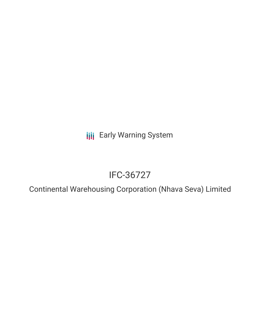**III** Early Warning System

# IFC-36727

Continental Warehousing Corporation (Nhava Seva) Limited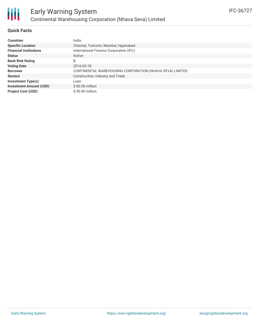

### **Quick Facts**

| <b>Countries</b>               | India                                                    |
|--------------------------------|----------------------------------------------------------|
| <b>Specific Location</b>       | Chennai, Tuticorin, Mumbai, Hyperabad                    |
| <b>Financial Institutions</b>  | International Finance Corporation (IFC)                  |
| <b>Status</b>                  | Active                                                   |
| <b>Bank Risk Rating</b>        | B                                                        |
| <b>Voting Date</b>             | 2016-03-18                                               |
| <b>Borrower</b>                | CONTINENTAL WAREHOUSING CORPORATION (NHAVA SEVA) LIMITED |
| <b>Sectors</b>                 | Construction, Industry and Trade                         |
| <b>Investment Type(s)</b>      | Loan                                                     |
| <b>Investment Amount (USD)</b> | $$60.00$ million                                         |
| <b>Project Cost (USD)</b>      | $$90.00$ million                                         |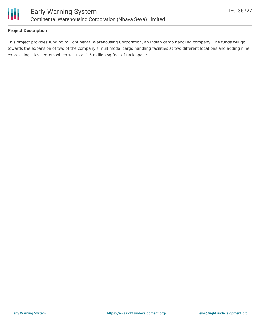

## **Project Description**

This project provides funding to Continental Warehousing Corporation, an Indian cargo handling company. The funds will go towards the expansion of two of the company's multimodal cargo handling facilities at two different locations and adding nine express logistics centers which will total 1.5 million sq feet of rack space.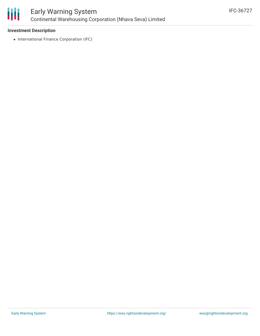

### **Investment Description**

• International Finance Corporation (IFC)